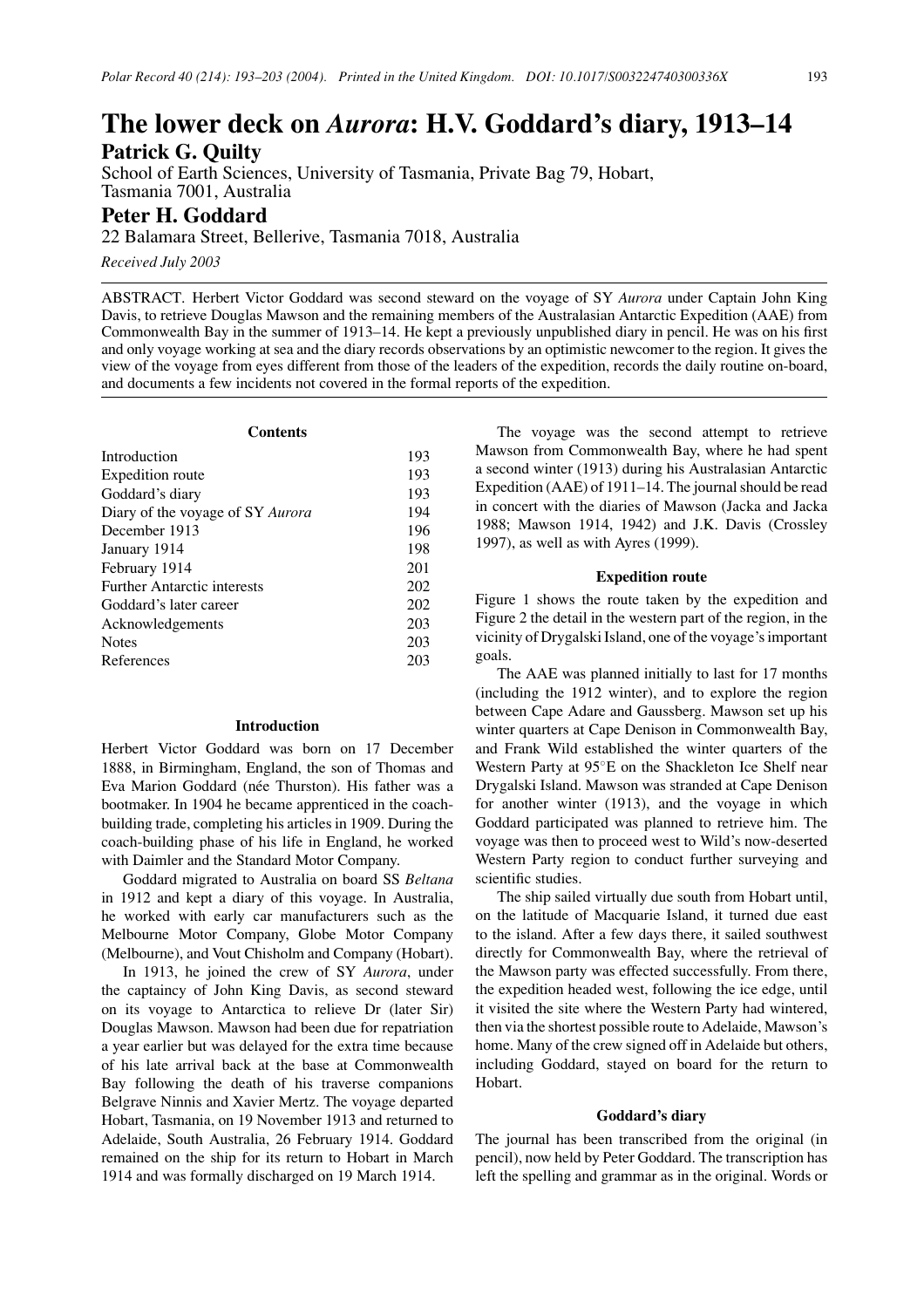# **The lower deck on** *Aurora***: H.V. Goddard's diary, 1913–14 Patrick G. Quilty**

School of Earth Sciences, University of Tasmania, Private Bag 79, Hobart, Tasmania 7001, Australia

## **Peter H. Goddard**

22 Balamara Street, Bellerive, Tasmania 7018, Australia

*Received July 2003*

ABSTRACT. Herbert Victor Goddard was second steward on the voyage of SY *Aurora* under Captain John King Davis, to retrieve Douglas Mawson and the remaining members of the Australasian Antarctic Expedition (AAE) from Commonwealth Bay in the summer of 1913–14. He kept a previously unpublished diary in pencil. He was on his first and only voyage working at sea and the diary records observations by an optimistic newcomer to the region. It gives the view of the voyage from eyes different from those of the leaders of the expedition, records the daily routine on-board, and documents a few incidents not covered in the formal reports of the expedition.

#### **Contents**

| Introduction                       | 193 |
|------------------------------------|-----|
| Expedition route                   | 193 |
| Goddard's diary                    | 193 |
| Diary of the voyage of SY Aurora   | 194 |
| December 1913                      | 196 |
| January 1914                       | 198 |
| February 1914                      | 201 |
| <b>Further Antarctic interests</b> | 202 |
| Goddard's later career             | 202 |
| Acknowledgements                   | 203 |
| <b>Notes</b>                       | 203 |
| References                         | 203 |

#### **Introduction**

Herbert Victor Goddard was born on 17 December 1888, in Birmingham, England, the son of Thomas and Eva Marion Goddard (née Thurston). His father was a bootmaker. In 1904 he became apprenticed in the coachbuilding trade, completing his articles in 1909. During the coach-building phase of his life in England, he worked with Daimler and the Standard Motor Company.

Goddard migrated to Australia on board SS *Beltana* in 1912 and kept a diary of this voyage. In Australia, he worked with early car manufacturers such as the Melbourne Motor Company, Globe Motor Company (Melbourne), and Vout Chisholm and Company (Hobart).

In 1913, he joined the crew of SY *Aurora*, under the captaincy of John King Davis, as second steward on its voyage to Antarctica to relieve Dr (later Sir) Douglas Mawson. Mawson had been due for repatriation a year earlier but was delayed for the extra time because of his late arrival back at the base at Commonwealth Bay following the death of his traverse companions Belgrave Ninnis and Xavier Mertz. The voyage departed Hobart, Tasmania, on 19 November 1913 and returned to Adelaide, South Australia, 26 February 1914. Goddard remained on the ship for its return to Hobart in March 1914 and was formally discharged on 19 March 1914.

The voyage was the second attempt to retrieve Mawson from Commonwealth Bay, where he had spent a second winter (1913) during his Australasian Antarctic Expedition (AAE) of 1911–14. The journal should be read in concert with the diaries of Mawson (Jacka and Jacka 1988; Mawson 1914, 1942) and J.K. Davis (Crossley 1997), as well as with Ayres (1999).

#### **Expedition route**

Figure 1 shows the route taken by the expedition and Figure 2 the detail in the western part of the region, in the vicinity of Drygalski Island, one of the voyage's important goals.

The AAE was planned initially to last for 17 months (including the 1912 winter), and to explore the region between Cape Adare and Gaussberg. Mawson set up his winter quarters at Cape Denison in Commonwealth Bay, and Frank Wild established the winter quarters of the Western Party at 95◦E on the Shackleton Ice Shelf near Drygalski Island. Mawson was stranded at Cape Denison for another winter (1913), and the voyage in which Goddard participated was planned to retrieve him. The voyage was then to proceed west to Wild's now-deserted Western Party region to conduct further surveying and scientific studies.

The ship sailed virtually due south from Hobart until, on the latitude of Macquarie Island, it turned due east to the island. After a few days there, it sailed southwest directly for Commonwealth Bay, where the retrieval of the Mawson party was effected successfully. From there, the expedition headed west, following the ice edge, until it visited the site where the Western Party had wintered, then via the shortest possible route to Adelaide, Mawson's home. Many of the crew signed off in Adelaide but others, including Goddard, stayed on board for the return to Hobart.

#### **Goddard's diary**

The journal has been transcribed from the original (in pencil), now held by Peter Goddard. The transcription has left the spelling and grammar as in the original. Words or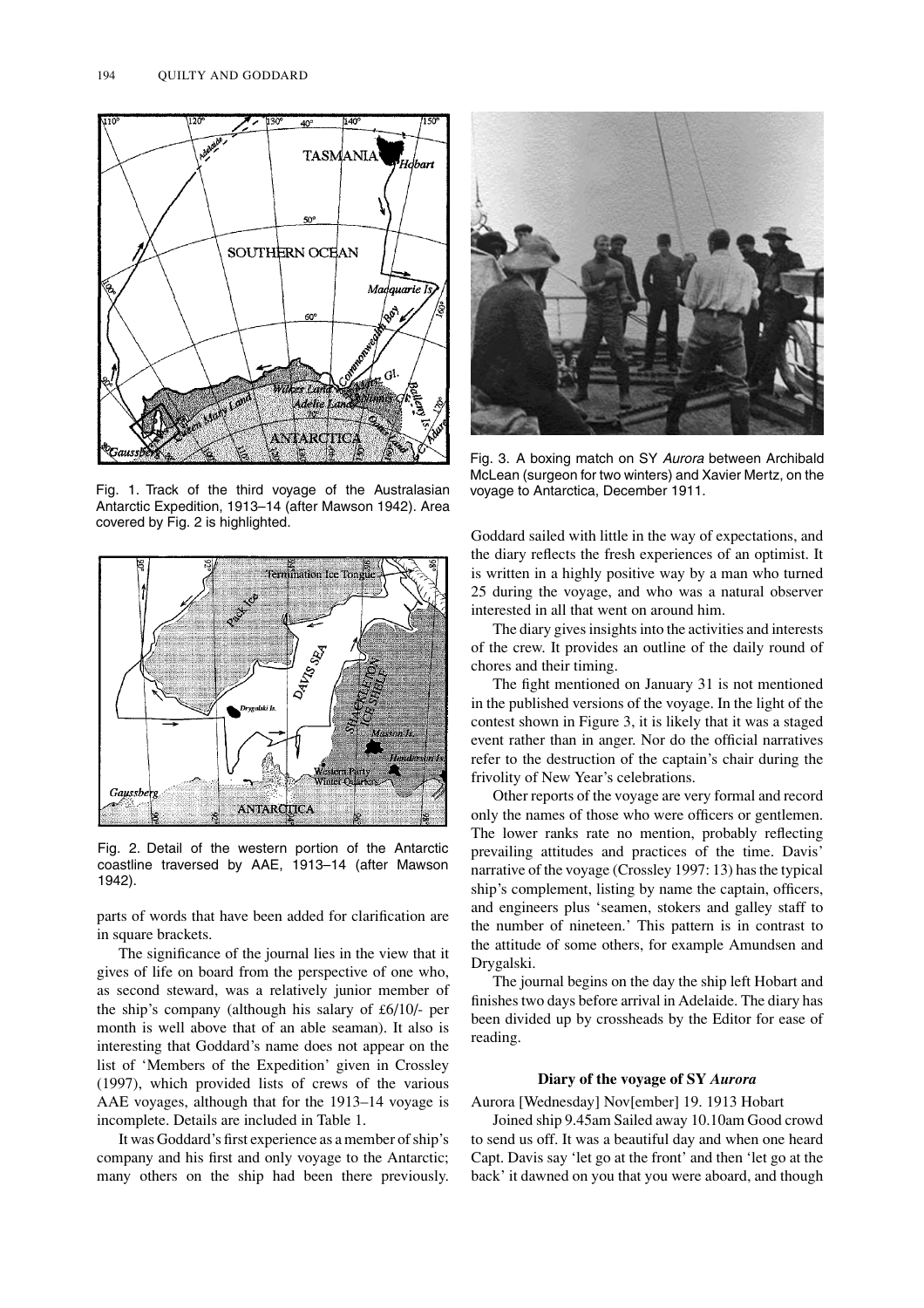

Fig. 1. Track of the third voyage of the Australasian Antarctic Expedition, 1913–14 (after Mawson 1942). Area covered by Fig. 2 is highlighted.



Fig. 2. Detail of the western portion of the Antarctic coastline traversed by AAE, 1913–14 (after Mawson 1942).

parts of words that have been added for clarification are in square brackets.

The significance of the journal lies in the view that it gives of life on board from the perspective of one who, as second steward, was a relatively junior member of the ship's company (although his salary of £6/10/- per month is well above that of an able seaman). It also is interesting that Goddard's name does not appear on the list of 'Members of the Expedition' given in Crossley (1997), which provided lists of crews of the various AAE voyages, although that for the 1913–14 voyage is incomplete. Details are included in Table 1.

It was Goddard's first experience as a member of ship's company and his first and only voyage to the Antarctic; many others on the ship had been there previously.



Fig. 3. A boxing match on SY Aurora between Archibald McLean (surgeon for two winters) and Xavier Mertz, on the voyage to Antarctica, December 1911.

Goddard sailed with little in the way of expectations, and the diary reflects the fresh experiences of an optimist. It is written in a highly positive way by a man who turned 25 during the voyage, and who was a natural observer interested in all that went on around him.

The diary gives insights into the activities and interests of the crew. It provides an outline of the daily round of chores and their timing.

The fight mentioned on January 31 is not mentioned in the published versions of the voyage. In the light of the contest shown in Figure 3, it is likely that it was a staged event rather than in anger. Nor do the official narratives refer to the destruction of the captain's chair during the frivolity of New Year's celebrations.

Other reports of the voyage are very formal and record only the names of those who were officers or gentlemen. The lower ranks rate no mention, probably reflecting prevailing attitudes and practices of the time. Davis' narrative of the voyage (Crossley 1997: 13) has the typical ship's complement, listing by name the captain, officers, and engineers plus 'seamen, stokers and galley staff to the number of nineteen.' This pattern is in contrast to the attitude of some others, for example Amundsen and Drygalski.

The journal begins on the day the ship left Hobart and finishes two days before arrival in Adelaide. The diary has been divided up by crossheads by the Editor for ease of reading.

## **Diary of the voyage of SY** *Aurora*

Aurora [Wednesday] Nov[ember] 19. 1913 Hobart

Joined ship 9.45am Sailed away 10.10am Good crowd to send us off. It was a beautiful day and when one heard Capt. Davis say 'let go at the front' and then 'let go at the back' it dawned on you that you were aboard, and though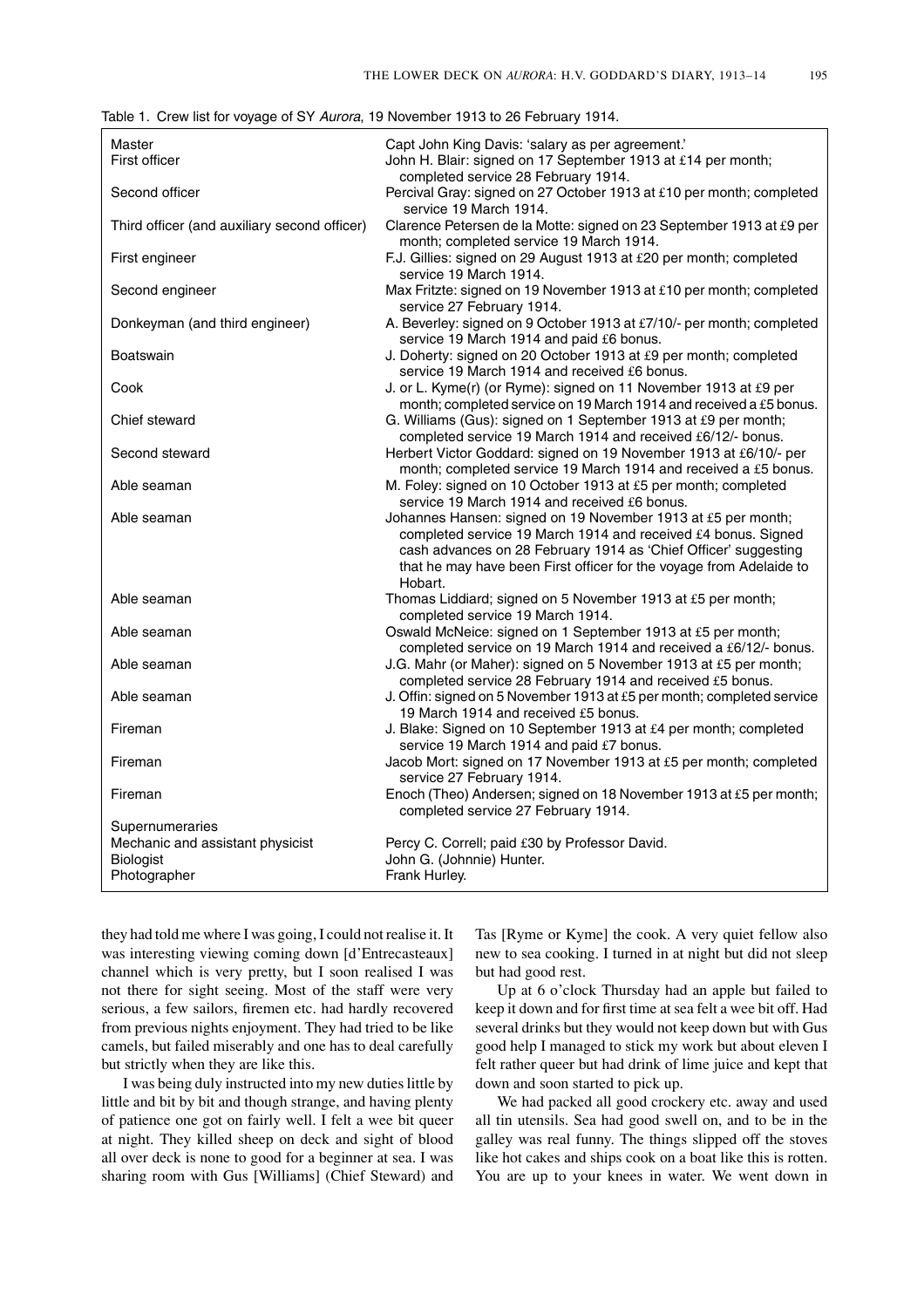| Table 1. Crew list for voyage of SY Aurora, 19 November 1913 to 26 February 1914. |  |  |
|-----------------------------------------------------------------------------------|--|--|
|-----------------------------------------------------------------------------------|--|--|

| Master                                       | Capt John King Davis: 'salary as per agreement.'                       |
|----------------------------------------------|------------------------------------------------------------------------|
| First officer                                | John H. Blair: signed on 17 September 1913 at £14 per month;           |
|                                              | completed service 28 February 1914.                                    |
| Second officer                               | Percival Gray: signed on 27 October 1913 at £10 per month; completed   |
|                                              | service 19 March 1914.                                                 |
| Third officer (and auxiliary second officer) | Clarence Petersen de la Motte: signed on 23 September 1913 at £9 per   |
|                                              | month; completed service 19 March 1914.                                |
| First engineer                               | F.J. Gillies: signed on 29 August 1913 at £20 per month; completed     |
|                                              | service 19 March 1914.                                                 |
|                                              |                                                                        |
| Second engineer                              | Max Fritzte: signed on 19 November 1913 at £10 per month; completed    |
|                                              | service 27 February 1914.                                              |
| Donkeyman (and third engineer)               | A. Beverley: signed on 9 October 1913 at £7/10/- per month; completed  |
|                                              | service 19 March 1914 and paid £6 bonus.                               |
| Boatswain                                    | J. Doherty: signed on 20 October 1913 at £9 per month; completed       |
|                                              | service 19 March 1914 and received £6 bonus.                           |
| Cook                                         | J. or L. Kyme(r) (or Ryme): signed on 11 November 1913 at £9 per       |
|                                              | month; completed service on 19 March 1914 and received a £5 bonus.     |
| Chief steward                                | G. Williams (Gus): signed on 1 September 1913 at £9 per month;         |
|                                              | completed service 19 March 1914 and received £6/12/- bonus.            |
| Second steward                               | Herbert Victor Goddard: signed on 19 November 1913 at £6/10/- per      |
|                                              | month; completed service 19 March 1914 and received a £5 bonus.        |
| Able seaman                                  | M. Foley: signed on 10 October 1913 at £5 per month; completed         |
|                                              | service 19 March 1914 and received £6 bonus.                           |
| Able seaman                                  | Johannes Hansen: signed on 19 November 1913 at £5 per month;           |
|                                              | completed service 19 March 1914 and received £4 bonus. Signed          |
|                                              | cash advances on 28 February 1914 as 'Chief Officer' suggesting        |
|                                              | that he may have been First officer for the voyage from Adelaide to    |
|                                              | Hobart.                                                                |
|                                              |                                                                        |
| Able seaman                                  | Thomas Liddiard; signed on 5 November 1913 at £5 per month;            |
|                                              | completed service 19 March 1914.                                       |
| Able seaman                                  | Oswald McNeice: signed on 1 September 1913 at £5 per month;            |
|                                              | completed service on 19 March 1914 and received a £6/12/- bonus.       |
| Able seaman                                  | J.G. Mahr (or Maher): signed on 5 November 1913 at £5 per month;       |
|                                              | completed service 28 February 1914 and received £5 bonus.              |
| Able seaman                                  | J. Offin: signed on 5 November 1913 at £5 per month; completed service |
|                                              | 19 March 1914 and received £5 bonus.                                   |
| Fireman                                      | J. Blake: Signed on 10 September 1913 at £4 per month; completed       |
|                                              | service 19 March 1914 and paid £7 bonus.                               |
| Fireman                                      | Jacob Mort: signed on 17 November 1913 at £5 per month; completed      |
|                                              | service 27 February 1914.                                              |
| Fireman                                      | Enoch (Theo) Andersen; signed on 18 November 1913 at £5 per month;     |
|                                              | completed service 27 February 1914.                                    |
| Supernumeraries                              |                                                                        |
| Mechanic and assistant physicist             | Percy C. Correll; paid £30 by Professor David.                         |
| <b>Biologist</b>                             | John G. (Johnnie) Hunter.                                              |
| Photographer                                 | Frank Hurley.                                                          |
|                                              |                                                                        |

they had told me where I was going, I could not realise it. It was interesting viewing coming down [d'Entrecasteaux] channel which is very pretty, but I soon realised I was not there for sight seeing. Most of the staff were very serious, a few sailors, firemen etc. had hardly recovered from previous nights enjoyment. They had tried to be like camels, but failed miserably and one has to deal carefully but strictly when they are like this.

I was being duly instructed into my new duties little by little and bit by bit and though strange, and having plenty of patience one got on fairly well. I felt a wee bit queer at night. They killed sheep on deck and sight of blood all over deck is none to good for a beginner at sea. I was sharing room with Gus [Williams] (Chief Steward) and Tas [Ryme or Kyme] the cook. A very quiet fellow also new to sea cooking. I turned in at night but did not sleep but had good rest.

Up at 6 o'clock Thursday had an apple but failed to keep it down and for first time at sea felt a wee bit off. Had several drinks but they would not keep down but with Gus good help I managed to stick my work but about eleven I felt rather queer but had drink of lime juice and kept that down and soon started to pick up.

We had packed all good crockery etc. away and used all tin utensils. Sea had good swell on, and to be in the galley was real funny. The things slipped off the stoves like hot cakes and ships cook on a boat like this is rotten. You are up to your knees in water. We went down in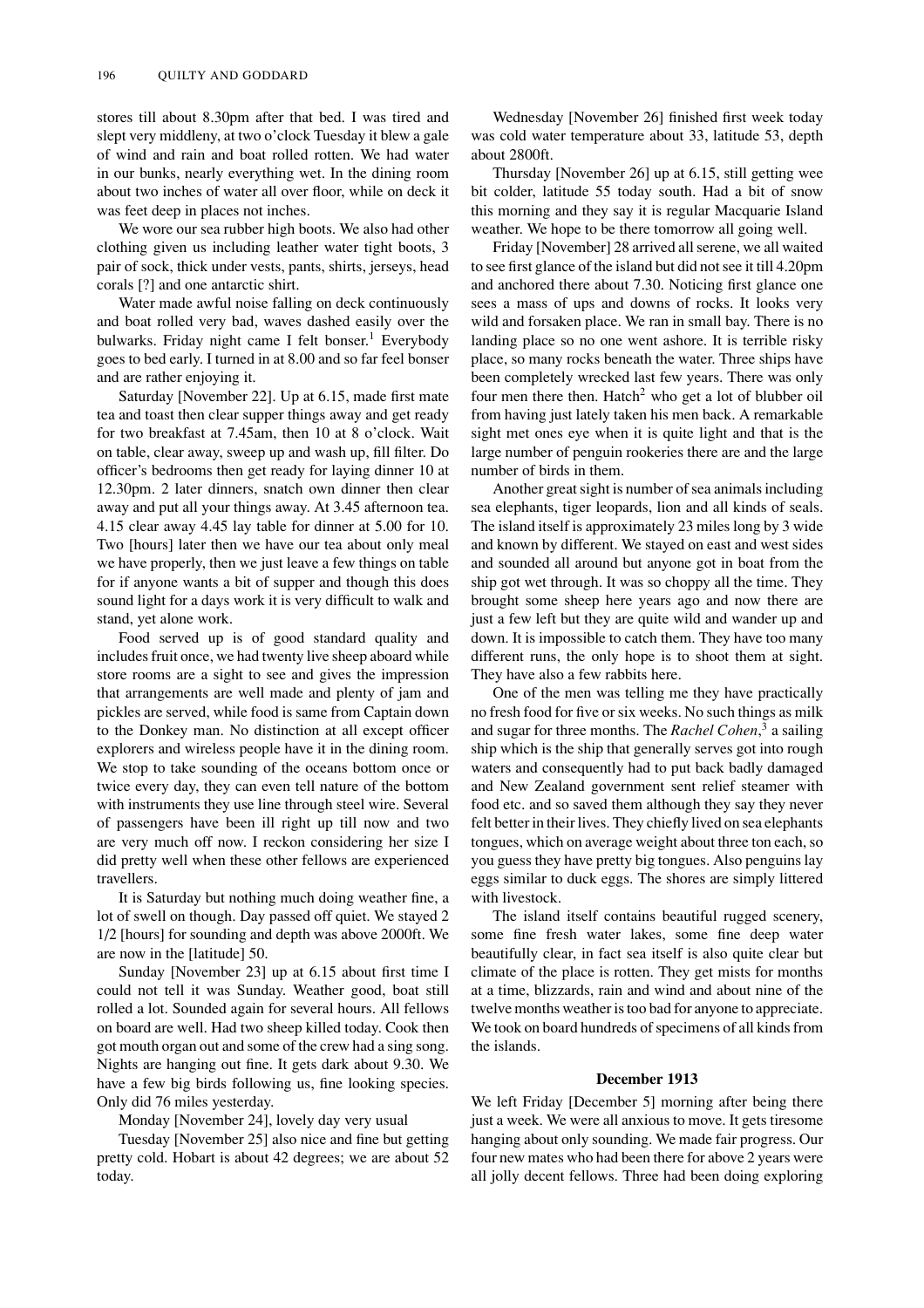stores till about 8.30pm after that bed. I was tired and slept very middleny, at two o'clock Tuesday it blew a gale of wind and rain and boat rolled rotten. We had water in our bunks, nearly everything wet. In the dining room about two inches of water all over floor, while on deck it was feet deep in places not inches.

We wore our sea rubber high boots. We also had other clothing given us including leather water tight boots, 3 pair of sock, thick under vests, pants, shirts, jerseys, head corals [?] and one antarctic shirt.

Water made awful noise falling on deck continuously and boat rolled very bad, waves dashed easily over the bulwarks. Friday night came I felt bonser.<sup>1</sup> Everybody goes to bed early. I turned in at 8.00 and so far feel bonser and are rather enjoying it.

Saturday [November 22]. Up at 6.15, made first mate tea and toast then clear supper things away and get ready for two breakfast at 7.45am, then 10 at 8 o'clock. Wait on table, clear away, sweep up and wash up, fill filter. Do officer's bedrooms then get ready for laying dinner 10 at 12.30pm. 2 later dinners, snatch own dinner then clear away and put all your things away. At 3.45 afternoon tea. 4.15 clear away 4.45 lay table for dinner at 5.00 for 10. Two [hours] later then we have our tea about only meal we have properly, then we just leave a few things on table for if anyone wants a bit of supper and though this does sound light for a days work it is very difficult to walk and stand, yet alone work.

Food served up is of good standard quality and includes fruit once, we had twenty live sheep aboard while store rooms are a sight to see and gives the impression that arrangements are well made and plenty of jam and pickles are served, while food is same from Captain down to the Donkey man. No distinction at all except officer explorers and wireless people have it in the dining room. We stop to take sounding of the oceans bottom once or twice every day, they can even tell nature of the bottom with instruments they use line through steel wire. Several of passengers have been ill right up till now and two are very much off now. I reckon considering her size I did pretty well when these other fellows are experienced travellers.

It is Saturday but nothing much doing weather fine, a lot of swell on though. Day passed off quiet. We stayed 2 1/2 [hours] for sounding and depth was above 2000ft. We are now in the [latitude] 50.

Sunday [November 23] up at 6.15 about first time I could not tell it was Sunday. Weather good, boat still rolled a lot. Sounded again for several hours. All fellows on board are well. Had two sheep killed today. Cook then got mouth organ out and some of the crew had a sing song. Nights are hanging out fine. It gets dark about 9.30. We have a few big birds following us, fine looking species. Only did 76 miles yesterday.

Monday [November 24], lovely day very usual

Tuesday [November 25] also nice and fine but getting pretty cold. Hobart is about 42 degrees; we are about 52 today.

Wednesday [November 26] finished first week today was cold water temperature about 33, latitude 53, depth about 2800ft.

Thursday [November 26] up at 6.15, still getting wee bit colder, latitude 55 today south. Had a bit of snow this morning and they say it is regular Macquarie Island weather. We hope to be there tomorrow all going well.

Friday [November] 28 arrived all serene, we all waited to see first glance of the island but did not see it till 4.20pm and anchored there about 7.30. Noticing first glance one sees a mass of ups and downs of rocks. It looks very wild and forsaken place. We ran in small bay. There is no landing place so no one went ashore. It is terrible risky place, so many rocks beneath the water. Three ships have been completely wrecked last few years. There was only four men there then. Hatch<sup>2</sup> who get a lot of blubber oil from having just lately taken his men back. A remarkable sight met ones eye when it is quite light and that is the large number of penguin rookeries there are and the large number of birds in them.

Another great sight is number of sea animals including sea elephants, tiger leopards, lion and all kinds of seals. The island itself is approximately 23 miles long by 3 wide and known by different. We stayed on east and west sides and sounded all around but anyone got in boat from the ship got wet through. It was so choppy all the time. They brought some sheep here years ago and now there are just a few left but they are quite wild and wander up and down. It is impossible to catch them. They have too many different runs, the only hope is to shoot them at sight. They have also a few rabbits here.

One of the men was telling me they have practically no fresh food for five or six weeks. No such things as milk and sugar for three months. The *Rachel Cohen*, <sup>3</sup> a sailing ship which is the ship that generally serves got into rough waters and consequently had to put back badly damaged and New Zealand government sent relief steamer with food etc. and so saved them although they say they never felt better in their lives. They chiefly lived on sea elephants tongues, which on average weight about three ton each, so you guess they have pretty big tongues. Also penguins lay eggs similar to duck eggs. The shores are simply littered with livestock.

The island itself contains beautiful rugged scenery, some fine fresh water lakes, some fine deep water beautifully clear, in fact sea itself is also quite clear but climate of the place is rotten. They get mists for months at a time, blizzards, rain and wind and about nine of the twelve months weather is too bad for anyone to appreciate. We took on board hundreds of specimens of all kinds from the islands.

#### **December 1913**

We left Friday [December 5] morning after being there just a week. We were all anxious to move. It gets tiresome hanging about only sounding. We made fair progress. Our four new mates who had been there for above 2 years were all jolly decent fellows. Three had been doing exploring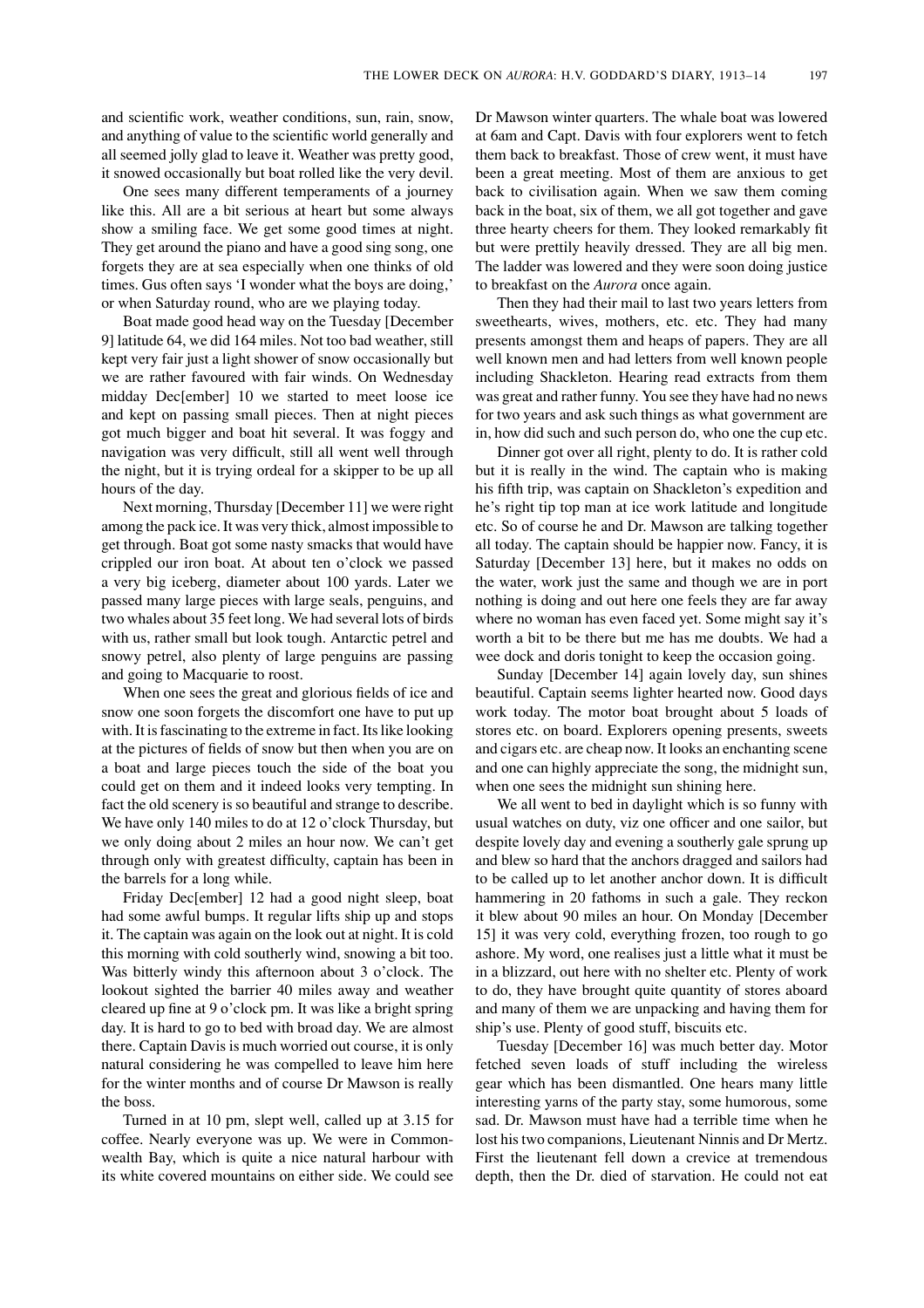and scientific work, weather conditions, sun, rain, snow, and anything of value to the scientific world generally and all seemed jolly glad to leave it. Weather was pretty good, it snowed occasionally but boat rolled like the very devil.

One sees many different temperaments of a journey like this. All are a bit serious at heart but some always show a smiling face. We get some good times at night. They get around the piano and have a good sing song, one forgets they are at sea especially when one thinks of old times. Gus often says 'I wonder what the boys are doing,' or when Saturday round, who are we playing today.

Boat made good head way on the Tuesday [December 9] latitude 64, we did 164 miles. Not too bad weather, still kept very fair just a light shower of snow occasionally but we are rather favoured with fair winds. On Wednesday midday Dec[ember] 10 we started to meet loose ice and kept on passing small pieces. Then at night pieces got much bigger and boat hit several. It was foggy and navigation was very difficult, still all went well through the night, but it is trying ordeal for a skipper to be up all hours of the day.

Next morning, Thursday [December 11] we were right among the pack ice. It was very thick, almost impossible to get through. Boat got some nasty smacks that would have crippled our iron boat. At about ten o'clock we passed a very big iceberg, diameter about 100 yards. Later we passed many large pieces with large seals, penguins, and two whales about 35 feet long. We had several lots of birds with us, rather small but look tough. Antarctic petrel and snowy petrel, also plenty of large penguins are passing and going to Macquarie to roost.

When one sees the great and glorious fields of ice and snow one soon forgets the discomfort one have to put up with. It is fascinating to the extreme in fact. Its like looking at the pictures of fields of snow but then when you are on a boat and large pieces touch the side of the boat you could get on them and it indeed looks very tempting. In fact the old scenery is so beautiful and strange to describe. We have only 140 miles to do at 12 o'clock Thursday, but we only doing about 2 miles an hour now. We can't get through only with greatest difficulty, captain has been in the barrels for a long while.

Friday Dec[ember] 12 had a good night sleep, boat had some awful bumps. It regular lifts ship up and stops it. The captain was again on the look out at night. It is cold this morning with cold southerly wind, snowing a bit too. Was bitterly windy this afternoon about 3 o'clock. The lookout sighted the barrier 40 miles away and weather cleared up fine at 9 o'clock pm. It was like a bright spring day. It is hard to go to bed with broad day. We are almost there. Captain Davis is much worried out course, it is only natural considering he was compelled to leave him here for the winter months and of course Dr Mawson is really the boss.

Turned in at 10 pm, slept well, called up at 3.15 for coffee. Nearly everyone was up. We were in Commonwealth Bay, which is quite a nice natural harbour with its white covered mountains on either side. We could see Dr Mawson winter quarters. The whale boat was lowered at 6am and Capt. Davis with four explorers went to fetch them back to breakfast. Those of crew went, it must have been a great meeting. Most of them are anxious to get back to civilisation again. When we saw them coming back in the boat, six of them, we all got together and gave three hearty cheers for them. They looked remarkably fit but were prettily heavily dressed. They are all big men. The ladder was lowered and they were soon doing justice to breakfast on the *Aurora* once again.

Then they had their mail to last two years letters from sweethearts, wives, mothers, etc. etc. They had many presents amongst them and heaps of papers. They are all well known men and had letters from well known people including Shackleton. Hearing read extracts from them was great and rather funny. You see they have had no news for two years and ask such things as what government are in, how did such and such person do, who one the cup etc.

Dinner got over all right, plenty to do. It is rather cold but it is really in the wind. The captain who is making his fifth trip, was captain on Shackleton's expedition and he's right tip top man at ice work latitude and longitude etc. So of course he and Dr. Mawson are talking together all today. The captain should be happier now. Fancy, it is Saturday [December 13] here, but it makes no odds on the water, work just the same and though we are in port nothing is doing and out here one feels they are far away where no woman has even faced yet. Some might say it's worth a bit to be there but me has me doubts. We had a wee dock and doris tonight to keep the occasion going.

Sunday [December 14] again lovely day, sun shines beautiful. Captain seems lighter hearted now. Good days work today. The motor boat brought about 5 loads of stores etc. on board. Explorers opening presents, sweets and cigars etc. are cheap now. It looks an enchanting scene and one can highly appreciate the song, the midnight sun, when one sees the midnight sun shining here.

We all went to bed in daylight which is so funny with usual watches on duty, viz one officer and one sailor, but despite lovely day and evening a southerly gale sprung up and blew so hard that the anchors dragged and sailors had to be called up to let another anchor down. It is difficult hammering in 20 fathoms in such a gale. They reckon it blew about 90 miles an hour. On Monday [December 15] it was very cold, everything frozen, too rough to go ashore. My word, one realises just a little what it must be in a blizzard, out here with no shelter etc. Plenty of work to do, they have brought quite quantity of stores aboard and many of them we are unpacking and having them for ship's use. Plenty of good stuff, biscuits etc.

Tuesday [December 16] was much better day. Motor fetched seven loads of stuff including the wireless gear which has been dismantled. One hears many little interesting yarns of the party stay, some humorous, some sad. Dr. Mawson must have had a terrible time when he lost his two companions, Lieutenant Ninnis and Dr Mertz. First the lieutenant fell down a crevice at tremendous depth, then the Dr. died of starvation. He could not eat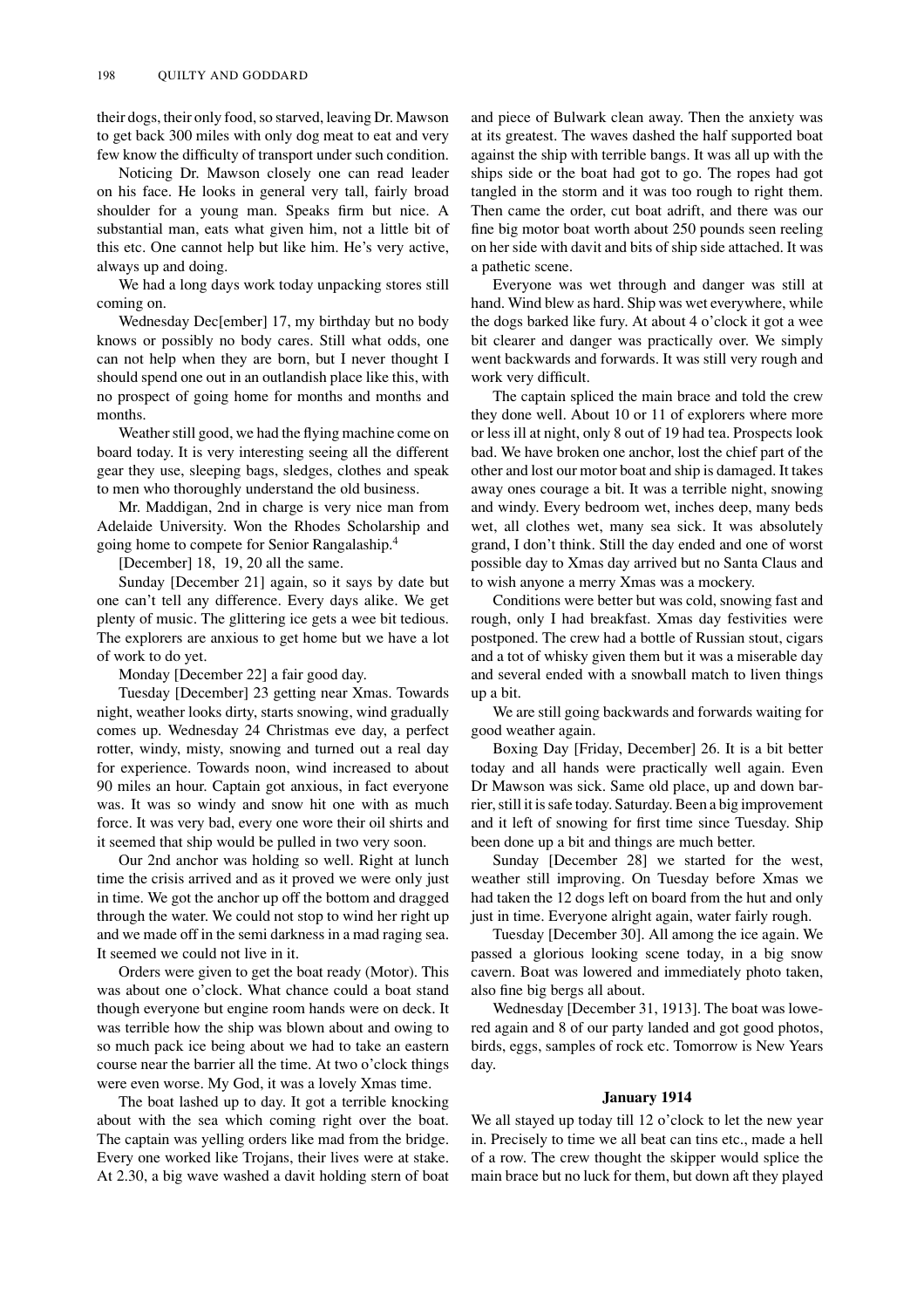their dogs, their only food, so starved, leaving Dr. Mawson to get back 300 miles with only dog meat to eat and very few know the difficulty of transport under such condition.

Noticing Dr. Mawson closely one can read leader on his face. He looks in general very tall, fairly broad shoulder for a young man. Speaks firm but nice. A substantial man, eats what given him, not a little bit of this etc. One cannot help but like him. He's very active, always up and doing.

We had a long days work today unpacking stores still coming on.

Wednesday Dec[ember] 17, my birthday but no body knows or possibly no body cares. Still what odds, one can not help when they are born, but I never thought I should spend one out in an outlandish place like this, with no prospect of going home for months and months and months.

Weather still good, we had the flying machine come on board today. It is very interesting seeing all the different gear they use, sleeping bags, sledges, clothes and speak to men who thoroughly understand the old business.

Mr. Maddigan, 2nd in charge is very nice man from Adelaide University. Won the Rhodes Scholarship and going home to compete for Senior Rangalaship.<sup>4</sup>

[December] 18, 19, 20 all the same.

Sunday [December 21] again, so it says by date but one can't tell any difference. Every days alike. We get plenty of music. The glittering ice gets a wee bit tedious. The explorers are anxious to get home but we have a lot of work to do yet.

Monday [December 22] a fair good day.

Tuesday [December] 23 getting near Xmas. Towards night, weather looks dirty, starts snowing, wind gradually comes up. Wednesday 24 Christmas eve day, a perfect rotter, windy, misty, snowing and turned out a real day for experience. Towards noon, wind increased to about 90 miles an hour. Captain got anxious, in fact everyone was. It was so windy and snow hit one with as much force. It was very bad, every one wore their oil shirts and it seemed that ship would be pulled in two very soon.

Our 2nd anchor was holding so well. Right at lunch time the crisis arrived and as it proved we were only just in time. We got the anchor up off the bottom and dragged through the water. We could not stop to wind her right up and we made off in the semi darkness in a mad raging sea. It seemed we could not live in it.

Orders were given to get the boat ready (Motor). This was about one o'clock. What chance could a boat stand though everyone but engine room hands were on deck. It was terrible how the ship was blown about and owing to so much pack ice being about we had to take an eastern course near the barrier all the time. At two o'clock things were even worse. My God, it was a lovely Xmas time.

The boat lashed up to day. It got a terrible knocking about with the sea which coming right over the boat. The captain was yelling orders like mad from the bridge. Every one worked like Trojans, their lives were at stake. At 2.30, a big wave washed a davit holding stern of boat

and piece of Bulwark clean away. Then the anxiety was at its greatest. The waves dashed the half supported boat against the ship with terrible bangs. It was all up with the ships side or the boat had got to go. The ropes had got tangled in the storm and it was too rough to right them. Then came the order, cut boat adrift, and there was our fine big motor boat worth about 250 pounds seen reeling on her side with davit and bits of ship side attached. It was a pathetic scene.

Everyone was wet through and danger was still at hand. Wind blew as hard. Ship was wet everywhere, while the dogs barked like fury. At about 4 o'clock it got a wee bit clearer and danger was practically over. We simply went backwards and forwards. It was still very rough and work very difficult.

The captain spliced the main brace and told the crew they done well. About 10 or 11 of explorers where more or less ill at night, only 8 out of 19 had tea. Prospects look bad. We have broken one anchor, lost the chief part of the other and lost our motor boat and ship is damaged. It takes away ones courage a bit. It was a terrible night, snowing and windy. Every bedroom wet, inches deep, many beds wet, all clothes wet, many sea sick. It was absolutely grand, I don't think. Still the day ended and one of worst possible day to Xmas day arrived but no Santa Claus and to wish anyone a merry Xmas was a mockery.

Conditions were better but was cold, snowing fast and rough, only I had breakfast. Xmas day festivities were postponed. The crew had a bottle of Russian stout, cigars and a tot of whisky given them but it was a miserable day and several ended with a snowball match to liven things up a bit.

We are still going backwards and forwards waiting for good weather again.

Boxing Day [Friday, December] 26. It is a bit better today and all hands were practically well again. Even Dr Mawson was sick. Same old place, up and down barrier, still it is safe today. Saturday. Been a big improvement and it left of snowing for first time since Tuesday. Ship been done up a bit and things are much better.

Sunday [December 28] we started for the west, weather still improving. On Tuesday before Xmas we had taken the 12 dogs left on board from the hut and only just in time. Everyone alright again, water fairly rough.

Tuesday [December 30]. All among the ice again. We passed a glorious looking scene today, in a big snow cavern. Boat was lowered and immediately photo taken, also fine big bergs all about.

Wednesday [December 31, 1913]. The boat was lowered again and 8 of our party landed and got good photos, birds, eggs, samples of rock etc. Tomorrow is New Years day.

### **January 1914**

We all stayed up today till 12 o'clock to let the new year in. Precisely to time we all beat can tins etc., made a hell of a row. The crew thought the skipper would splice the main brace but no luck for them, but down aft they played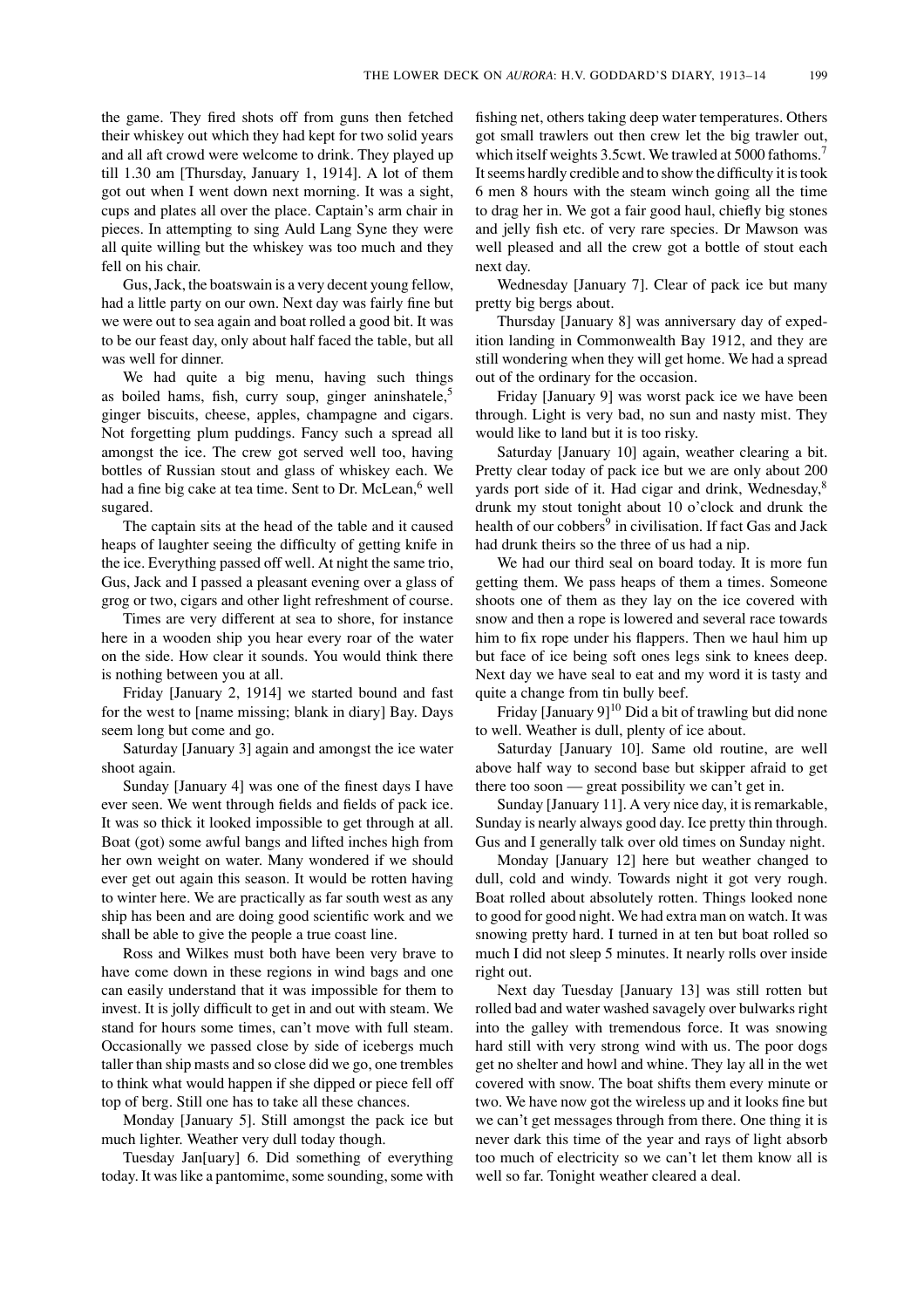the game. They fired shots off from guns then fetched their whiskey out which they had kept for two solid years and all aft crowd were welcome to drink. They played up till 1.30 am [Thursday, January 1, 1914]. A lot of them got out when I went down next morning. It was a sight, cups and plates all over the place. Captain's arm chair in pieces. In attempting to sing Auld Lang Syne they were all quite willing but the whiskey was too much and they fell on his chair.

Gus, Jack, the boatswain is a very decent young fellow, had a little party on our own. Next day was fairly fine but we were out to sea again and boat rolled a good bit. It was to be our feast day, only about half faced the table, but all was well for dinner.

We had quite a big menu, having such things as boiled hams, fish, curry soup, ginger aninshatele, $5$ ginger biscuits, cheese, apples, champagne and cigars. Not forgetting plum puddings. Fancy such a spread all amongst the ice. The crew got served well too, having bottles of Russian stout and glass of whiskey each. We had a fine big cake at tea time. Sent to Dr. McLean,<sup>6</sup> well sugared.

The captain sits at the head of the table and it caused heaps of laughter seeing the difficulty of getting knife in the ice. Everything passed off well. At night the same trio, Gus, Jack and I passed a pleasant evening over a glass of grog or two, cigars and other light refreshment of course.

Times are very different at sea to shore, for instance here in a wooden ship you hear every roar of the water on the side. How clear it sounds. You would think there is nothing between you at all.

Friday [January 2, 1914] we started bound and fast for the west to [name missing; blank in diary] Bay. Days seem long but come and go.

Saturday [January 3] again and amongst the ice water shoot again.

Sunday [January 4] was one of the finest days I have ever seen. We went through fields and fields of pack ice. It was so thick it looked impossible to get through at all. Boat (got) some awful bangs and lifted inches high from her own weight on water. Many wondered if we should ever get out again this season. It would be rotten having to winter here. We are practically as far south west as any ship has been and are doing good scientific work and we shall be able to give the people a true coast line.

Ross and Wilkes must both have been very brave to have come down in these regions in wind bags and one can easily understand that it was impossible for them to invest. It is jolly difficult to get in and out with steam. We stand for hours some times, can't move with full steam. Occasionally we passed close by side of icebergs much taller than ship masts and so close did we go, one trembles to think what would happen if she dipped or piece fell off top of berg. Still one has to take all these chances.

Monday [January 5]. Still amongst the pack ice but much lighter. Weather very dull today though.

Tuesday Jan[uary] 6. Did something of everything today. It was like a pantomime, some sounding, some with fishing net, others taking deep water temperatures. Others got small trawlers out then crew let the big trawler out, which itself weights 3.5cwt. We trawled at 5000 fathoms.<sup>7</sup> It seems hardly credible and to show the difficulty it is took 6 men 8 hours with the steam winch going all the time to drag her in. We got a fair good haul, chiefly big stones and jelly fish etc. of very rare species. Dr Mawson was well pleased and all the crew got a bottle of stout each next day.

Wednesday [January 7]. Clear of pack ice but many pretty big bergs about.

Thursday [January 8] was anniversary day of expedition landing in Commonwealth Bay 1912, and they are still wondering when they will get home. We had a spread out of the ordinary for the occasion.

Friday [January 9] was worst pack ice we have been through. Light is very bad, no sun and nasty mist. They would like to land but it is too risky.

Saturday [January 10] again, weather clearing a bit. Pretty clear today of pack ice but we are only about 200 yards port side of it. Had cigar and drink, Wednesday,<sup>8</sup> drunk my stout tonight about 10 o'clock and drunk the health of our cobbers<sup>9</sup> in civilisation. If fact Gas and Jack had drunk theirs so the three of us had a nip.

We had our third seal on board today. It is more fun getting them. We pass heaps of them a times. Someone shoots one of them as they lay on the ice covered with snow and then a rope is lowered and several race towards him to fix rope under his flappers. Then we haul him up but face of ice being soft ones legs sink to knees deep. Next day we have seal to eat and my word it is tasty and quite a change from tin bully beef.

Friday [January  $9$ ]<sup>10</sup> Did a bit of trawling but did none to well. Weather is dull, plenty of ice about.

Saturday [January 10]. Same old routine, are well above half way to second base but skipper afraid to get there too soon — great possibility we can't get in.

Sunday [January 11]. A very nice day, it is remarkable, Sunday is nearly always good day. Ice pretty thin through. Gus and I generally talk over old times on Sunday night.

Monday [January 12] here but weather changed to dull, cold and windy. Towards night it got very rough. Boat rolled about absolutely rotten. Things looked none to good for good night. We had extra man on watch. It was snowing pretty hard. I turned in at ten but boat rolled so much I did not sleep 5 minutes. It nearly rolls over inside right out.

Next day Tuesday [January 13] was still rotten but rolled bad and water washed savagely over bulwarks right into the galley with tremendous force. It was snowing hard still with very strong wind with us. The poor dogs get no shelter and howl and whine. They lay all in the wet covered with snow. The boat shifts them every minute or two. We have now got the wireless up and it looks fine but we can't get messages through from there. One thing it is never dark this time of the year and rays of light absorb too much of electricity so we can't let them know all is well so far. Tonight weather cleared a deal.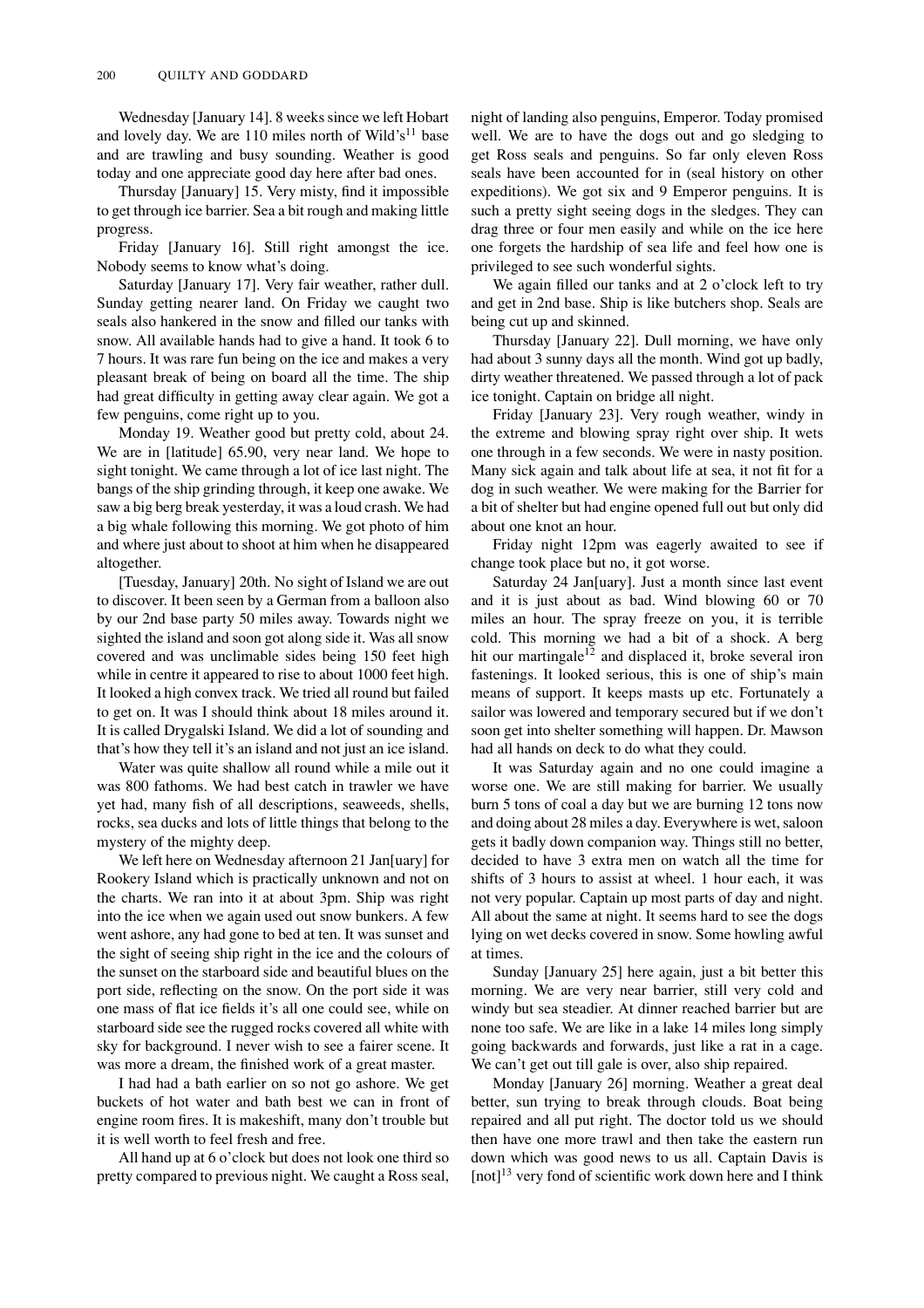Wednesday [January 14]. 8 weeks since we left Hobart and lovely day. We are 110 miles north of Wild's<sup>11</sup> base and are trawling and busy sounding. Weather is good today and one appreciate good day here after bad ones.

Thursday [January] 15. Very misty, find it impossible to get through ice barrier. Sea a bit rough and making little progress.

Friday [January 16]. Still right amongst the ice. Nobody seems to know what's doing.

Saturday [January 17]. Very fair weather, rather dull. Sunday getting nearer land. On Friday we caught two seals also hankered in the snow and filled our tanks with snow. All available hands had to give a hand. It took 6 to 7 hours. It was rare fun being on the ice and makes a very pleasant break of being on board all the time. The ship had great difficulty in getting away clear again. We got a few penguins, come right up to you.

Monday 19. Weather good but pretty cold, about 24. We are in [latitude] 65.90, very near land. We hope to sight tonight. We came through a lot of ice last night. The bangs of the ship grinding through, it keep one awake. We saw a big berg break yesterday, it was a loud crash. We had a big whale following this morning. We got photo of him and where just about to shoot at him when he disappeared altogether.

[Tuesday, January] 20th. No sight of Island we are out to discover. It been seen by a German from a balloon also by our 2nd base party 50 miles away. Towards night we sighted the island and soon got along side it. Was all snow covered and was unclimable sides being 150 feet high while in centre it appeared to rise to about 1000 feet high. It looked a high convex track. We tried all round but failed to get on. It was I should think about 18 miles around it. It is called Drygalski Island. We did a lot of sounding and that's how they tell it's an island and not just an ice island.

Water was quite shallow all round while a mile out it was 800 fathoms. We had best catch in trawler we have yet had, many fish of all descriptions, seaweeds, shells, rocks, sea ducks and lots of little things that belong to the mystery of the mighty deep.

We left here on Wednesday afternoon 21 Jan[uary] for Rookery Island which is practically unknown and not on the charts. We ran into it at about 3pm. Ship was right into the ice when we again used out snow bunkers. A few went ashore, any had gone to bed at ten. It was sunset and the sight of seeing ship right in the ice and the colours of the sunset on the starboard side and beautiful blues on the port side, reflecting on the snow. On the port side it was one mass of flat ice fields it's all one could see, while on starboard side see the rugged rocks covered all white with sky for background. I never wish to see a fairer scene. It was more a dream, the finished work of a great master.

I had had a bath earlier on so not go ashore. We get buckets of hot water and bath best we can in front of engine room fires. It is makeshift, many don't trouble but it is well worth to feel fresh and free.

All hand up at 6 o'clock but does not look one third so pretty compared to previous night. We caught a Ross seal,

night of landing also penguins, Emperor. Today promised well. We are to have the dogs out and go sledging to get Ross seals and penguins. So far only eleven Ross seals have been accounted for in (seal history on other expeditions). We got six and 9 Emperor penguins. It is such a pretty sight seeing dogs in the sledges. They can drag three or four men easily and while on the ice here one forgets the hardship of sea life and feel how one is privileged to see such wonderful sights.

We again filled our tanks and at 2 o'clock left to try and get in 2nd base. Ship is like butchers shop. Seals are being cut up and skinned.

Thursday [January 22]. Dull morning, we have only had about 3 sunny days all the month. Wind got up badly, dirty weather threatened. We passed through a lot of pack ice tonight. Captain on bridge all night.

Friday [January 23]. Very rough weather, windy in the extreme and blowing spray right over ship. It wets one through in a few seconds. We were in nasty position. Many sick again and talk about life at sea, it not fit for a dog in such weather. We were making for the Barrier for a bit of shelter but had engine opened full out but only did about one knot an hour.

Friday night 12pm was eagerly awaited to see if change took place but no, it got worse.

Saturday 24 Jan[uary]. Just a month since last event and it is just about as bad. Wind blowing 60 or 70 miles an hour. The spray freeze on you, it is terrible cold. This morning we had a bit of a shock. A berg hit our martingale<sup>12</sup> and displaced it, broke several iron fastenings. It looked serious, this is one of ship's main means of support. It keeps masts up etc. Fortunately a sailor was lowered and temporary secured but if we don't soon get into shelter something will happen. Dr. Mawson had all hands on deck to do what they could.

It was Saturday again and no one could imagine a worse one. We are still making for barrier. We usually burn 5 tons of coal a day but we are burning 12 tons now and doing about 28 miles a day. Everywhere is wet, saloon gets it badly down companion way. Things still no better, decided to have 3 extra men on watch all the time for shifts of 3 hours to assist at wheel. 1 hour each, it was not very popular. Captain up most parts of day and night. All about the same at night. It seems hard to see the dogs lying on wet decks covered in snow. Some howling awful at times.

Sunday [January 25] here again, just a bit better this morning. We are very near barrier, still very cold and windy but sea steadier. At dinner reached barrier but are none too safe. We are like in a lake 14 miles long simply going backwards and forwards, just like a rat in a cage. We can't get out till gale is over, also ship repaired.

Monday [January 26] morning. Weather a great deal better, sun trying to break through clouds. Boat being repaired and all put right. The doctor told us we should then have one more trawl and then take the eastern run down which was good news to us all. Captain Davis is  $[not]$ <sup>13</sup> very fond of scientific work down here and I think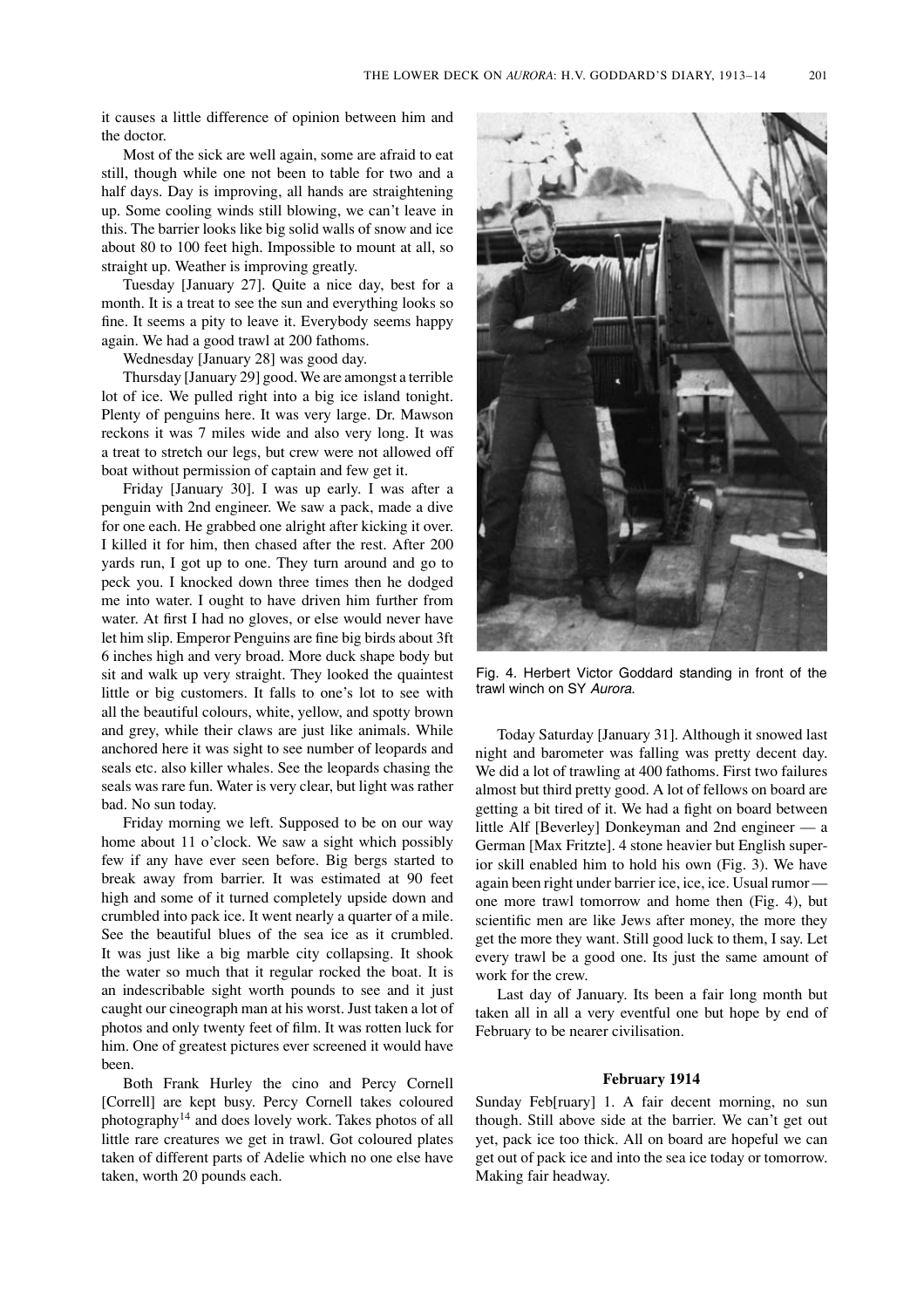it causes a little difference of opinion between him and the doctor.

Most of the sick are well again, some are afraid to eat still, though while one not been to table for two and a half days. Day is improving, all hands are straightening up. Some cooling winds still blowing, we can't leave in this. The barrier looks like big solid walls of snow and ice about 80 to 100 feet high. Impossible to mount at all, so straight up. Weather is improving greatly.

Tuesday [January 27]. Quite a nice day, best for a month. It is a treat to see the sun and everything looks so fine. It seems a pity to leave it. Everybody seems happy again. We had a good trawl at 200 fathoms.

Wednesday [January 28] was good day.

Thursday [January 29] good. We are amongst a terrible lot of ice. We pulled right into a big ice island tonight. Plenty of penguins here. It was very large. Dr. Mawson reckons it was 7 miles wide and also very long. It was a treat to stretch our legs, but crew were not allowed off boat without permission of captain and few get it.

Friday [January 30]. I was up early. I was after a penguin with 2nd engineer. We saw a pack, made a dive for one each. He grabbed one alright after kicking it over. I killed it for him, then chased after the rest. After 200 yards run, I got up to one. They turn around and go to peck you. I knocked down three times then he dodged me into water. I ought to have driven him further from water. At first I had no gloves, or else would never have let him slip. Emperor Penguins are fine big birds about 3ft 6 inches high and very broad. More duck shape body but sit and walk up very straight. They looked the quaintest little or big customers. It falls to one's lot to see with all the beautiful colours, white, yellow, and spotty brown and grey, while their claws are just like animals. While anchored here it was sight to see number of leopards and seals etc. also killer whales. See the leopards chasing the seals was rare fun. Water is very clear, but light was rather bad. No sun today.

Friday morning we left. Supposed to be on our way home about 11 o'clock. We saw a sight which possibly few if any have ever seen before. Big bergs started to break away from barrier. It was estimated at 90 feet high and some of it turned completely upside down and crumbled into pack ice. It went nearly a quarter of a mile. See the beautiful blues of the sea ice as it crumbled. It was just like a big marble city collapsing. It shook the water so much that it regular rocked the boat. It is an indescribable sight worth pounds to see and it just caught our cineograph man at his worst. Just taken a lot of photos and only twenty feet of film. It was rotten luck for him. One of greatest pictures ever screened it would have been.

Both Frank Hurley the cino and Percy Cornell [Correll] are kept busy. Percy Cornell takes coloured photography<sup>14</sup> and does lovely work. Takes photos of all little rare creatures we get in trawl. Got coloured plates taken of different parts of Adelie which no one else have taken, worth 20 pounds each.



Fig. 4. Herbert Victor Goddard standing in front of the trawl winch on SY Aurora.

Today Saturday [January 31]. Although it snowed last night and barometer was falling was pretty decent day. We did a lot of trawling at 400 fathoms. First two failures almost but third pretty good. A lot of fellows on board are getting a bit tired of it. We had a fight on board between little Alf [Beverley] Donkeyman and 2nd engineer — a German [Max Fritzte]. 4 stone heavier but English superior skill enabled him to hold his own (Fig. 3). We have again been right under barrier ice, ice, ice. Usual rumor one more trawl tomorrow and home then (Fig. 4), but scientific men are like Jews after money, the more they get the more they want. Still good luck to them, I say. Let every trawl be a good one. Its just the same amount of work for the crew.

Last day of January. Its been a fair long month but taken all in all a very eventful one but hope by end of February to be nearer civilisation.

#### **February 1914**

Sunday Feb[ruary] 1. A fair decent morning, no sun though. Still above side at the barrier. We can't get out yet, pack ice too thick. All on board are hopeful we can get out of pack ice and into the sea ice today or tomorrow. Making fair headway.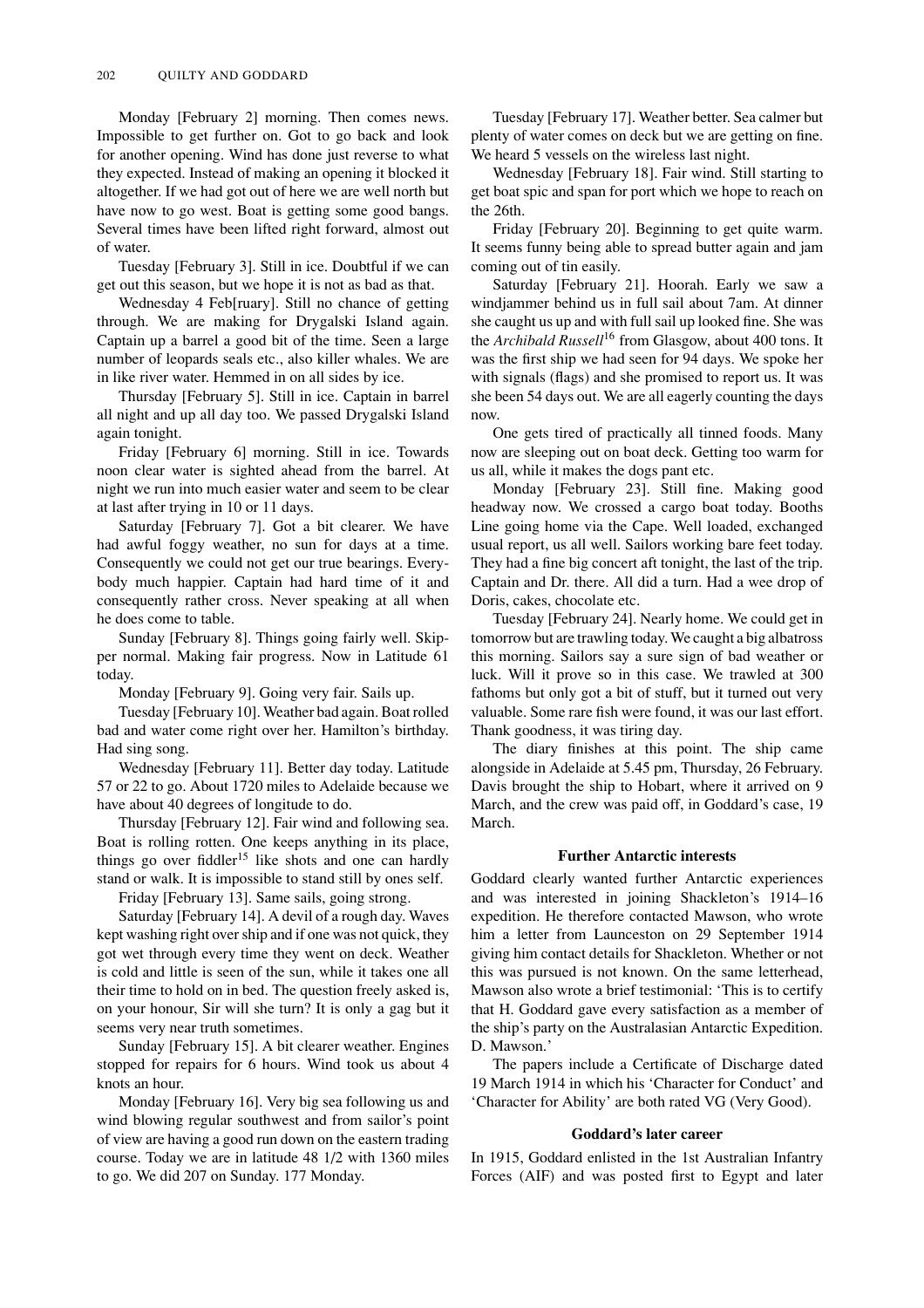Monday [February 2] morning. Then comes news. Impossible to get further on. Got to go back and look for another opening. Wind has done just reverse to what they expected. Instead of making an opening it blocked it altogether. If we had got out of here we are well north but have now to go west. Boat is getting some good bangs. Several times have been lifted right forward, almost out of water.

Tuesday [February 3]. Still in ice. Doubtful if we can get out this season, but we hope it is not as bad as that.

Wednesday 4 Feb[ruary]. Still no chance of getting through. We are making for Drygalski Island again. Captain up a barrel a good bit of the time. Seen a large number of leopards seals etc., also killer whales. We are in like river water. Hemmed in on all sides by ice.

Thursday [February 5]. Still in ice. Captain in barrel all night and up all day too. We passed Drygalski Island again tonight.

Friday [February 6] morning. Still in ice. Towards noon clear water is sighted ahead from the barrel. At night we run into much easier water and seem to be clear at last after trying in 10 or 11 days.

Saturday [February 7]. Got a bit clearer. We have had awful foggy weather, no sun for days at a time. Consequently we could not get our true bearings. Everybody much happier. Captain had hard time of it and consequently rather cross. Never speaking at all when he does come to table.

Sunday [February 8]. Things going fairly well. Skipper normal. Making fair progress. Now in Latitude 61 today.

Monday [February 9]. Going very fair. Sails up.

Tuesday [February 10]. Weather bad again. Boat rolled bad and water come right over her. Hamilton's birthday. Had sing song.

Wednesday [February 11]. Better day today. Latitude 57 or 22 to go. About 1720 miles to Adelaide because we have about 40 degrees of longitude to do.

Thursday [February 12]. Fair wind and following sea. Boat is rolling rotten. One keeps anything in its place, things go over fiddler<sup>15</sup> like shots and one can hardly stand or walk. It is impossible to stand still by ones self.

Friday [February 13]. Same sails, going strong.

Saturday [February 14]. A devil of a rough day. Waves kept washing right over ship and if one was not quick, they got wet through every time they went on deck. Weather is cold and little is seen of the sun, while it takes one all their time to hold on in bed. The question freely asked is, on your honour, Sir will she turn? It is only a gag but it seems very near truth sometimes.

Sunday [February 15]. A bit clearer weather. Engines stopped for repairs for 6 hours. Wind took us about 4 knots an hour.

Monday [February 16]. Very big sea following us and wind blowing regular southwest and from sailor's point of view are having a good run down on the eastern trading course. Today we are in latitude 48 1/2 with 1360 miles to go. We did 207 on Sunday. 177 Monday.

Tuesday [February 17]. Weather better. Sea calmer but plenty of water comes on deck but we are getting on fine. We heard 5 vessels on the wireless last night.

Wednesday [February 18]. Fair wind. Still starting to get boat spic and span for port which we hope to reach on the 26th.

Friday [February 20]. Beginning to get quite warm. It seems funny being able to spread butter again and jam coming out of tin easily.

Saturday [February 21]. Hoorah. Early we saw a windjammer behind us in full sail about 7am. At dinner she caught us up and with full sail up looked fine. She was the *Archibald Russell*<sup>16</sup> from Glasgow, about 400 tons. It was the first ship we had seen for 94 days. We spoke her with signals (flags) and she promised to report us. It was she been 54 days out. We are all eagerly counting the days now.

One gets tired of practically all tinned foods. Many now are sleeping out on boat deck. Getting too warm for us all, while it makes the dogs pant etc.

Monday [February 23]. Still fine. Making good headway now. We crossed a cargo boat today. Booths Line going home via the Cape. Well loaded, exchanged usual report, us all well. Sailors working bare feet today. They had a fine big concert aft tonight, the last of the trip. Captain and Dr. there. All did a turn. Had a wee drop of Doris, cakes, chocolate etc.

Tuesday [February 24]. Nearly home. We could get in tomorrow but are trawling today. We caught a big albatross this morning. Sailors say a sure sign of bad weather or luck. Will it prove so in this case. We trawled at 300 fathoms but only got a bit of stuff, but it turned out very valuable. Some rare fish were found, it was our last effort. Thank goodness, it was tiring day.

The diary finishes at this point. The ship came alongside in Adelaide at 5.45 pm, Thursday, 26 February. Davis brought the ship to Hobart, where it arrived on 9 March, and the crew was paid off, in Goddard's case, 19 March.

## **Further Antarctic interests**

Goddard clearly wanted further Antarctic experiences and was interested in joining Shackleton's 1914–16 expedition. He therefore contacted Mawson, who wrote him a letter from Launceston on 29 September 1914 giving him contact details for Shackleton. Whether or not this was pursued is not known. On the same letterhead, Mawson also wrote a brief testimonial: 'This is to certify that H. Goddard gave every satisfaction as a member of the ship's party on the Australasian Antarctic Expedition. D. Mawson.'

The papers include a Certificate of Discharge dated 19 March 1914 in which his 'Character for Conduct' and 'Character for Ability' are both rated VG (Very Good).

#### **Goddard's later career**

In 1915, Goddard enlisted in the 1st Australian Infantry Forces (AIF) and was posted first to Egypt and later